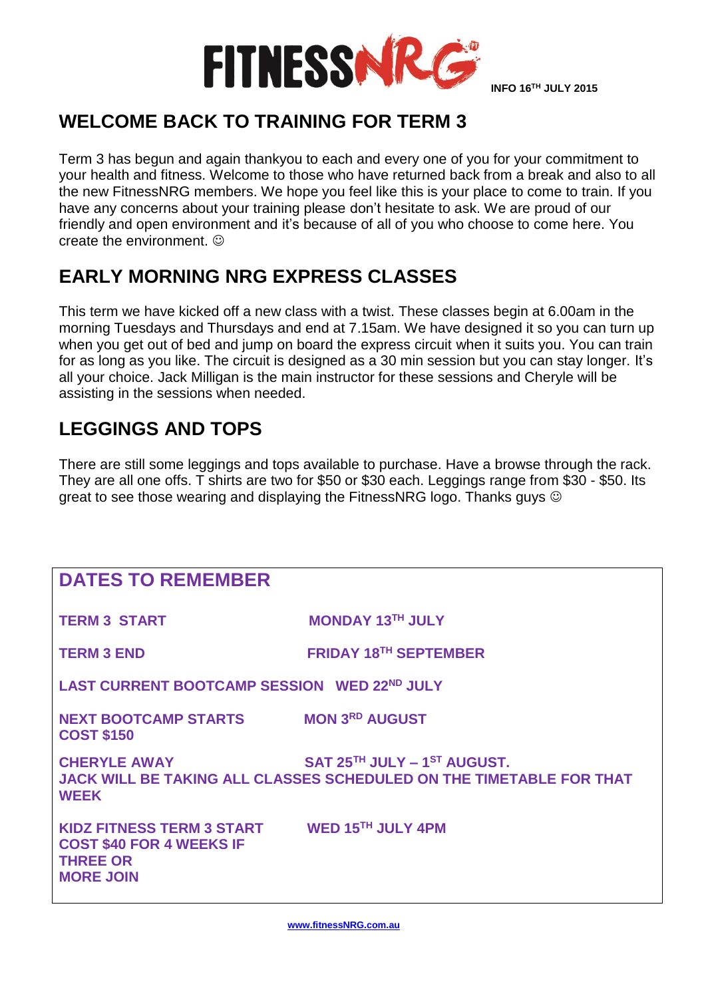

## **WELCOME BACK TO TRAINING FOR TERM 3**

Term 3 has begun and again thankyou to each and every one of you for your commitment to your health and fitness. Welcome to those who have returned back from a break and also to all the new FitnessNRG members. We hope you feel like this is your place to come to train. If you have any concerns about your training please don't hesitate to ask. We are proud of our friendly and open environment and it's because of all of you who choose to come here. You create the environment.  $\odot$ 

## **EARLY MORNING NRG EXPRESS CLASSES**

This term we have kicked off a new class with a twist. These classes begin at 6.00am in the morning Tuesdays and Thursdays and end at 7.15am. We have designed it so you can turn up when you get out of bed and jump on board the express circuit when it suits you. You can train for as long as you like. The circuit is designed as a 30 min session but you can stay longer. It's all your choice. Jack Milligan is the main instructor for these sessions and Cheryle will be assisting in the sessions when needed.

## **LEGGINGS AND TOPS**

There are still some leggings and tops available to purchase. Have a browse through the rack. They are all one offs. T shirts are two for \$50 or \$30 each. Leggings range from \$30 - \$50. Its great to see those wearing and displaying the FitnessNRG logo. Thanks guys

| <b>DATES TO REMEMBER</b>                                                                                              |                                                                                                           |
|-----------------------------------------------------------------------------------------------------------------------|-----------------------------------------------------------------------------------------------------------|
| <b>TERM 3 START</b>                                                                                                   | <b>MONDAY 13TH JULY</b>                                                                                   |
| <b>TERM 3 END</b>                                                                                                     | <b>FRIDAY 18TH SEPTEMBER</b>                                                                              |
| LAST CURRENT BOOTCAMP SESSION WED 22ND JULY                                                                           |                                                                                                           |
| <b>NEXT BOOTCAMP STARTS MON 3RD AUGUST</b><br><b>COST \$150</b>                                                       |                                                                                                           |
| <b>CHERYLE AWAY</b><br><b>WEEK</b>                                                                                    | SAT 25TH JULY - 1ST AUGUST.<br><b>JACK WILL BE TAKING ALL CLASSES SCHEDULED ON THE TIMETABLE FOR THAT</b> |
| KIDZ FITNESS TERM 3 START WED 15TH JULY 4PM<br><b>COST \$40 FOR 4 WEEKS IF</b><br><b>THREE OR</b><br><b>MORE JOIN</b> |                                                                                                           |